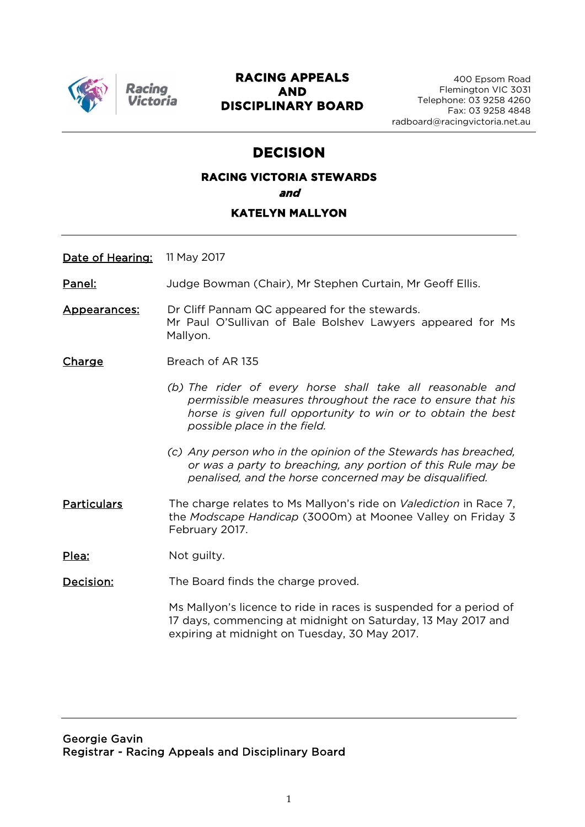

Racino

#### **RACING APPEALS AND DISCIPLINARY BOARD**

### **DECISION**

## **RACING VICTORIA STEWARDS and**

#### **KATELYN MALLYON**

Date of Hearing: 11 May 2017

Panel: Judge Bowman (Chair), Mr Stephen Curtain, Mr Geoff Ellis.

Appearances: Dr Cliff Pannam QC appeared for the stewards. Mr Paul O'Sullivan of Bale Bolshev Lawyers appeared for Ms Mallyon.

Charge Breach of AR 135

- *(b) The rider of every horse shall take all reasonable and permissible measures throughout the race to ensure that his horse is given full opportunity to win or to obtain the best possible place in the field.*
- *(c) Any person who in the opinion of the Stewards has breached, or was a party to breaching, any portion of this Rule may be penalised, and the horse concerned may be disqualified.*
- Particulars The charge relates to Ms Mallyon's ride on *Valediction* in Race 7, the *Modscape Handicap* (3000m) at Moonee Valley on Friday 3 February 2017.

Plea: Not guilty.

**Decision:** The Board finds the charge proved.

Ms Mallyon's licence to ride in races is suspended for a period of 17 days, commencing at midnight on Saturday, 13 May 2017 and expiring at midnight on Tuesday, 30 May 2017.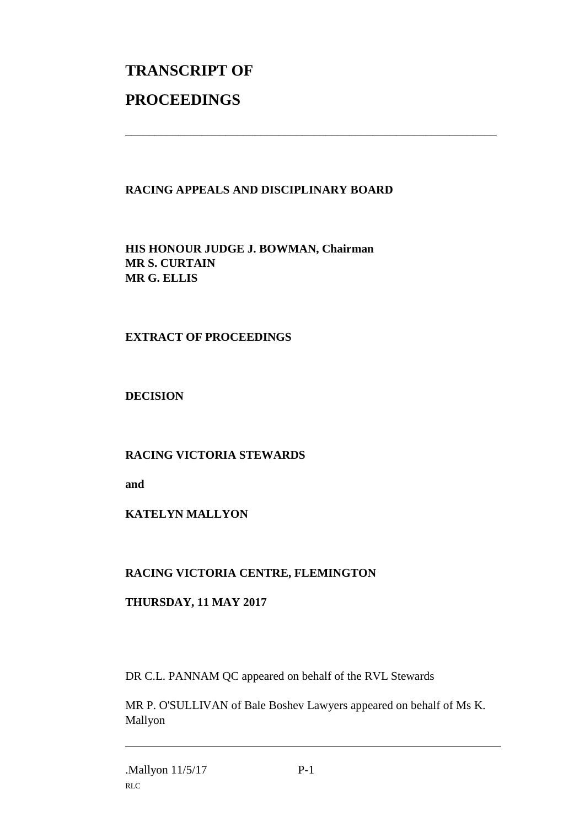# **TRANSCRIPT OF PROCEEDINGS**

#### **RACING APPEALS AND DISCIPLINARY BOARD**

\_\_\_\_\_\_\_\_\_\_\_\_\_\_\_\_\_\_\_\_\_\_\_\_\_\_\_\_\_\_\_\_\_\_\_\_\_\_\_\_\_\_\_\_\_\_\_\_\_\_\_\_\_\_\_\_\_\_\_\_\_\_\_

**HIS HONOUR JUDGE J. BOWMAN, Chairman MR S. CURTAIN MR G. ELLIS**

#### **EXTRACT OF PROCEEDINGS**

**DECISION**

#### **RACING VICTORIA STEWARDS**

**and** 

#### **KATELYN MALLYON**

#### **RACING VICTORIA CENTRE, FLEMINGTON**

#### **THURSDAY, 11 MAY 2017**

DR C.L. PANNAM QC appeared on behalf of the RVL Stewards

MR P. O'SULLIVAN of Bale Boshev Lawyers appeared on behalf of Ms K. Mallyon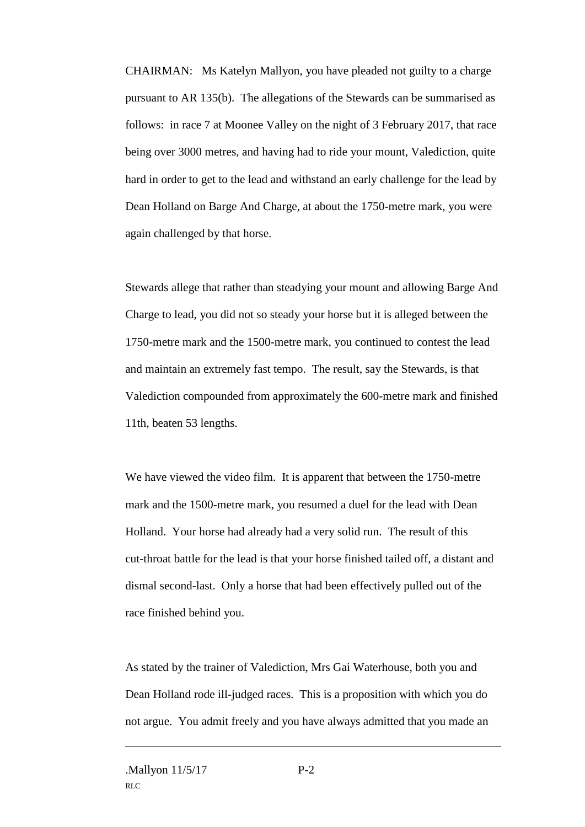CHAIRMAN: Ms Katelyn Mallyon, you have pleaded not guilty to a charge pursuant to AR 135(b). The allegations of the Stewards can be summarised as follows: in race 7 at Moonee Valley on the night of 3 February 2017, that race being over 3000 metres, and having had to ride your mount, Valediction, quite hard in order to get to the lead and withstand an early challenge for the lead by Dean Holland on Barge And Charge, at about the 1750-metre mark, you were again challenged by that horse.

Stewards allege that rather than steadying your mount and allowing Barge And Charge to lead, you did not so steady your horse but it is alleged between the 1750-metre mark and the 1500-metre mark, you continued to contest the lead and maintain an extremely fast tempo. The result, say the Stewards, is that Valediction compounded from approximately the 600-metre mark and finished 11th, beaten 53 lengths.

We have viewed the video film. It is apparent that between the 1750-metre mark and the 1500-metre mark, you resumed a duel for the lead with Dean Holland. Your horse had already had a very solid run. The result of this cut-throat battle for the lead is that your horse finished tailed off, a distant and dismal second-last. Only a horse that had been effectively pulled out of the race finished behind you.

As stated by the trainer of Valediction, Mrs Gai Waterhouse, both you and Dean Holland rode ill-judged races. This is a proposition with which you do not argue. You admit freely and you have always admitted that you made an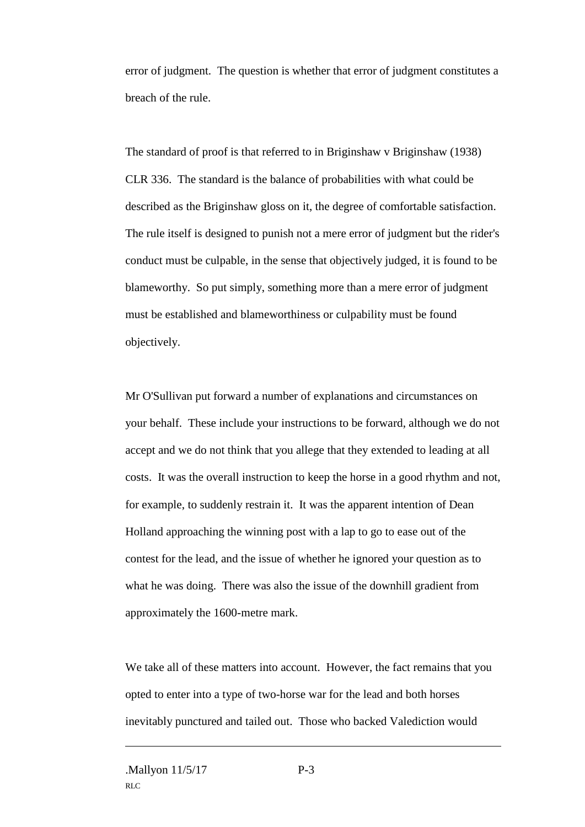error of judgment. The question is whether that error of judgment constitutes a breach of the rule.

The standard of proof is that referred to in Briginshaw v Briginshaw (1938) CLR 336. The standard is the balance of probabilities with what could be described as the Briginshaw gloss on it, the degree of comfortable satisfaction. The rule itself is designed to punish not a mere error of judgment but the rider's conduct must be culpable, in the sense that objectively judged, it is found to be blameworthy. So put simply, something more than a mere error of judgment must be established and blameworthiness or culpability must be found objectively.

Mr O'Sullivan put forward a number of explanations and circumstances on your behalf. These include your instructions to be forward, although we do not accept and we do not think that you allege that they extended to leading at all costs. It was the overall instruction to keep the horse in a good rhythm and not, for example, to suddenly restrain it. It was the apparent intention of Dean Holland approaching the winning post with a lap to go to ease out of the contest for the lead, and the issue of whether he ignored your question as to what he was doing. There was also the issue of the downhill gradient from approximately the 1600-metre mark.

We take all of these matters into account. However, the fact remains that you opted to enter into a type of two-horse war for the lead and both horses inevitably punctured and tailed out. Those who backed Valediction would